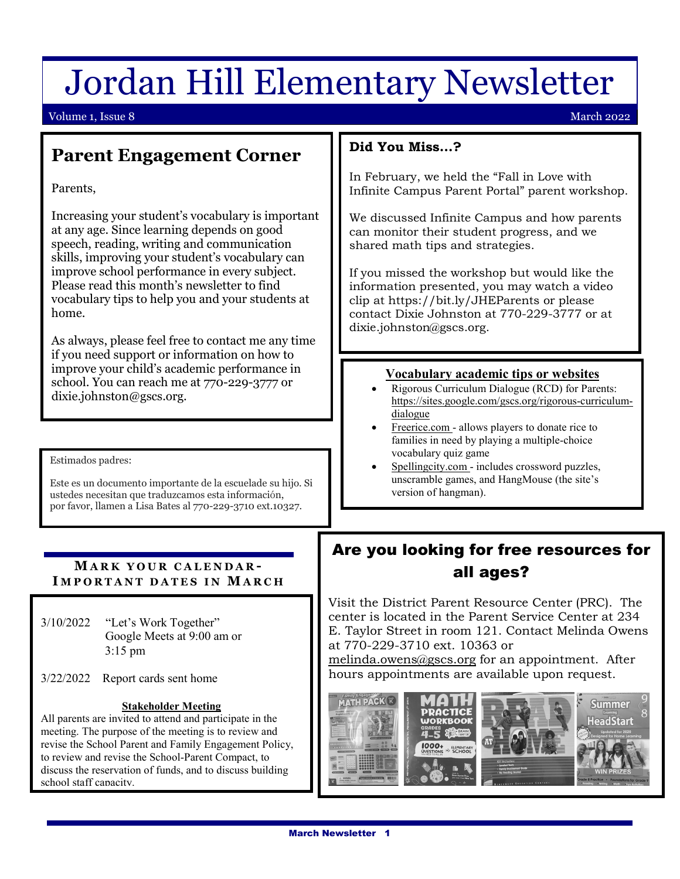# Jordan Hill Elementary Newsletter

#### Volume 1, Issue 8 March 2022

## **Parent Engagement Corner**

Parents,

Increasing your student's vocabulary is important at any age. Since learning depends on good speech, reading, writing and communication skills, improving your student's vocabulary can improve school performance in every subject. Please read this month's newsletter to find vocabulary tips to help you and your students at home.

As always, please feel free to contact me any time if you need support or information on how to improve your child's academic performance in school. You can reach me at 770-229-3777 or dixie.johnston@gscs.org.

ļ Estimados padres:

٦

 Este es un documento importante de la escuelade su hijo. Si por favor, llamen a Lisa Bates al 770-229-3710 ext.10327. ustedes necesitan que traduzcamos esta información,

#### **MARK YOUR CALENDAR - I MPORTANT DATES IN MARCH** Ę

3/10/2022 Google Meets at 9:00 am or "Let's Work Together" 3:15 pm

Ξ

3/22/2022 Report cards sent home

#### **Stakeholder Meeting**

All parents are invited to attend and participate in the meeting. The purpose of the meeting is to review and revise the School Parent and Family Engagement Policy, to review and revise the School-Parent Compact, to discuss the reservation of funds, and to discuss building school staff canacity.

#### **Did You Miss…?**

In February, we held the "Fall in Love with Infinite Campus Parent Portal" parent workshop.

We discussed Infinite Campus and how parents can monitor their student progress, and we shared math tips and strategies.

If you missed the workshop but would like the information presented, you may watch a video clip at https://bit.ly/JHEParents or please contact Dixie Johnston at 770-229-3777 or at dixie.johnston@gscs.org.

#### **Vocabulary academic tips or websites**

- Rigorous Curriculum Dialogue (RCD) for Parents: [https://sites.google.com/gscs.org/rigorous-curriculum](https://sites.google.com/gscs.org/rigorous-curriculum-dialogue)[dialogue](https://sites.google.com/gscs.org/rigorous-curriculum-dialogue)
- Freerice.com allows players to donate rice to families in need by playing a multiple-choice vocabulary quiz game
- Spellingcity.com includes crossword puzzles, unscramble games, and HangMouse (the site's version of hangman).

## Are you looking for free resources for all ages?

Visit the District Parent Resource Center (PRC). The center is located in the Parent Service Center at 234 E. Taylor Street in room 121. Contact Melinda Owens at 770-229-3710 ext. 10363 or

[melinda.owens@gscs.org](mailto:melinda.owens@gscs.org) for an appointment. After hours appointments are available upon request.

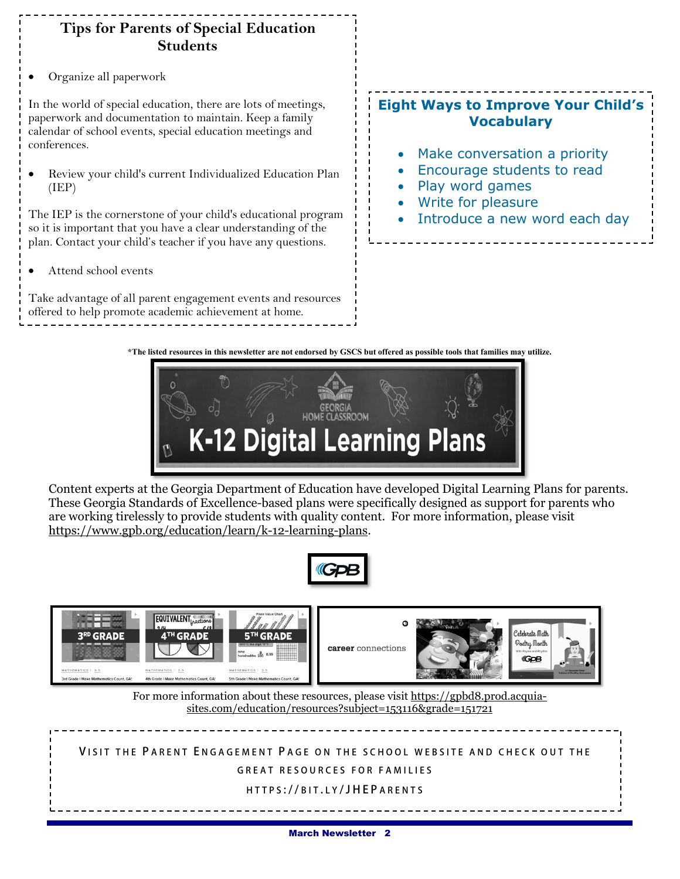### **Tips for Parents of Special Education Students**

• Organize all paperwork

In the world of special education, there are lots of meetings, paperwork and documentation to maintain. Keep a family calendar of school events, special education meetings and conferences.

• Review your child's current Individualized Education Plan (IEP)

The IEP is the cornerstone of your child's educational program so it is important that you have a clear understanding of the plan. Contact your child's teacher if you have any questions.

• Attend school events

Take advantage of all parent engagement events and resources offered to help promote academic achievement at home.

## **Eight Ways to Improve Your Child's Vocabulary**

- Make conversation a priority
- Encourage students to read
- Play word games
- Write for pleasure
- Introduce a new word each day

**\*The listed resources in this newsletter are not endorsed by GSCS but offered as possible tools that families may utilize.**



Content experts at the Georgia Department of Education have developed Digital Learning Plans for parents. These Georgia Standards of Excellence-based plans were specifically designed as support for parents who are working tirelessly to provide students with quality content. For more information, please visit [https://www.gpb.org/education/learn/k-12-learning-plans.](https://www.gpb.org/education/learn/k-12-learning-plans)





**V ISIT THE P ARENT E NGAGEMENT P AGE ON THE SCHOOL WE BSITE AND CHECK OUT THE** 

**GREAT RESOURCES FOR FAMILIES** 

#### **HTTPS :// BIT . L Y /JHEP ARENTS**